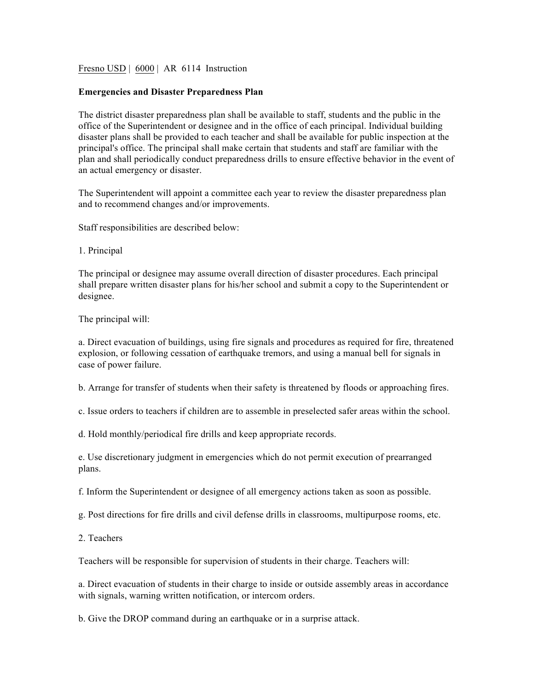Fresno USD | 6000 | AR 6114 Instruction

## **Emergencies and Disaster Preparedness Plan**

The district disaster preparedness plan shall be available to staff, students and the public in the office of the Superintendent or designee and in the office of each principal. Individual building disaster plans shall be provided to each teacher and shall be available for public inspection at the principal's office. The principal shall make certain that students and staff are familiar with the plan and shall periodically conduct preparedness drills to ensure effective behavior in the event of an actual emergency or disaster.

The Superintendent will appoint a committee each year to review the disaster preparedness plan and to recommend changes and/or improvements.

Staff responsibilities are described below:

1. Principal

The principal or designee may assume overall direction of disaster procedures. Each principal shall prepare written disaster plans for his/her school and submit a copy to the Superintendent or designee.

The principal will:

a. Direct evacuation of buildings, using fire signals and procedures as required for fire, threatened explosion, or following cessation of earthquake tremors, and using a manual bell for signals in case of power failure.

b. Arrange for transfer of students when their safety is threatened by floods or approaching fires.

c. Issue orders to teachers if children are to assemble in preselected safer areas within the school.

d. Hold monthly/periodical fire drills and keep appropriate records.

e. Use discretionary judgment in emergencies which do not permit execution of prearranged plans.

f. Inform the Superintendent or designee of all emergency actions taken as soon as possible.

g. Post directions for fire drills and civil defense drills in classrooms, multipurpose rooms, etc.

2. Teachers

Teachers will be responsible for supervision of students in their charge. Teachers will:

a. Direct evacuation of students in their charge to inside or outside assembly areas in accordance with signals, warning written notification, or intercom orders.

b. Give the DROP command during an earthquake or in a surprise attack.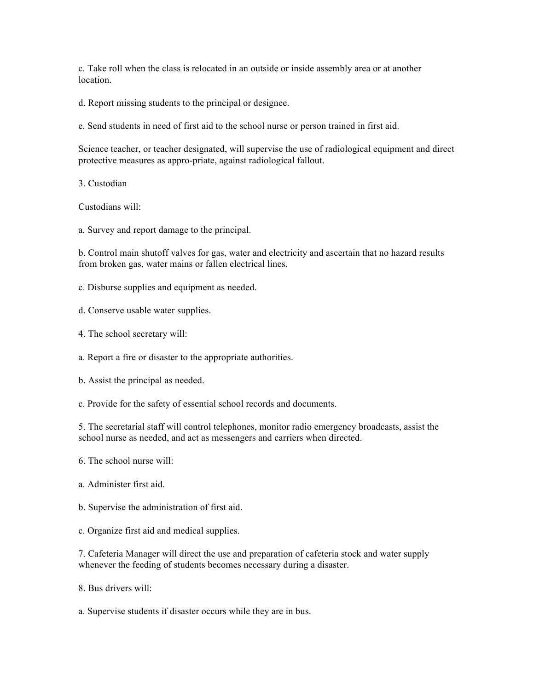c. Take roll when the class is relocated in an outside or inside assembly area or at another location.

d. Report missing students to the principal or designee.

e. Send students in need of first aid to the school nurse or person trained in first aid.

Science teacher, or teacher designated, will supervise the use of radiological equipment and direct protective measures as appro-priate, against radiological fallout.

3. Custodian

Custodians will:

a. Survey and report damage to the principal.

b. Control main shutoff valves for gas, water and electricity and ascertain that no hazard results from broken gas, water mains or fallen electrical lines.

- c. Disburse supplies and equipment as needed.
- d. Conserve usable water supplies.
- 4. The school secretary will:
- a. Report a fire or disaster to the appropriate authorities.
- b. Assist the principal as needed.
- c. Provide for the safety of essential school records and documents.

5. The secretarial staff will control telephones, monitor radio emergency broadcasts, assist the school nurse as needed, and act as messengers and carriers when directed.

- 6. The school nurse will:
- a. Administer first aid.
- b. Supervise the administration of first aid.
- c. Organize first aid and medical supplies.

7. Cafeteria Manager will direct the use and preparation of cafeteria stock and water supply whenever the feeding of students becomes necessary during a disaster.

- 8. Bus drivers will:
- a. Supervise students if disaster occurs while they are in bus.